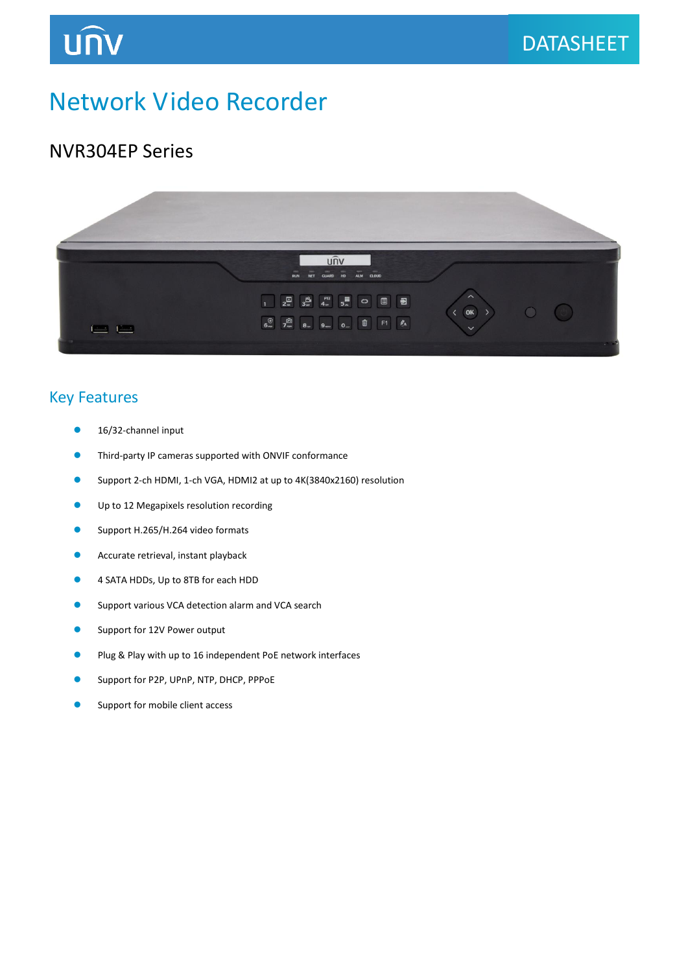## Network Video Recorder

### NVR304EP Series

**UNV** 



### Key Features

- 16/32-channel input
- Third-party IP cameras supported with ONVIF conformance
- Support 2-ch HDMI, 1-ch VGA, HDMI2 at up to 4K(3840x2160) resolution
- **Up to 12 Megapixels resolution recording**
- Support H.265/H.264 video formats
- **Accurate retrieval, instant playback**
- 4 SATA HDDs, Up to 8TB for each HDD
- **O** Support various VCA detection alarm and VCA search
- **Support for 12V Power output**
- **Plug & Play with up to 16 independent PoE network interfaces**
- Support for P2P, UPnP, NTP, DHCP, PPPoE
- Support for mobile client access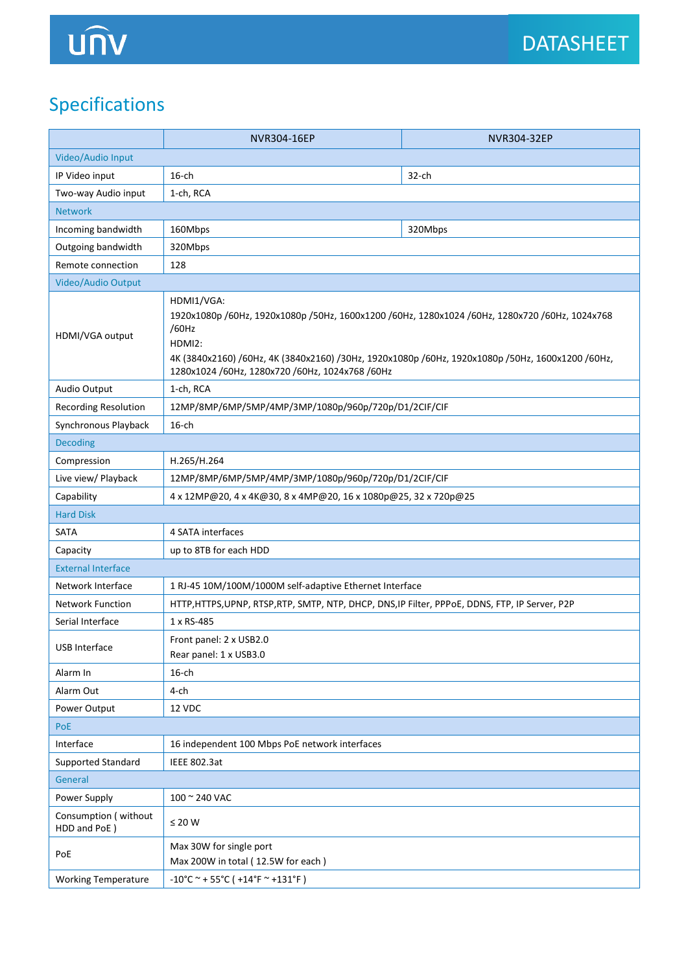## Specifications

|                                      | NVR304-16EP                                                                                                                                                                                                                                                                            | NVR304-32EP |  |
|--------------------------------------|----------------------------------------------------------------------------------------------------------------------------------------------------------------------------------------------------------------------------------------------------------------------------------------|-------------|--|
| Video/Audio Input                    |                                                                                                                                                                                                                                                                                        |             |  |
| IP Video input                       | $16$ -ch                                                                                                                                                                                                                                                                               | $32$ -ch    |  |
| Two-way Audio input                  | 1-ch, RCA                                                                                                                                                                                                                                                                              |             |  |
| <b>Network</b>                       |                                                                                                                                                                                                                                                                                        |             |  |
| Incoming bandwidth                   | 160Mbps                                                                                                                                                                                                                                                                                | 320Mbps     |  |
| Outgoing bandwidth                   | 320Mbps                                                                                                                                                                                                                                                                                |             |  |
| Remote connection                    | 128                                                                                                                                                                                                                                                                                    |             |  |
| Video/Audio Output                   |                                                                                                                                                                                                                                                                                        |             |  |
| HDMI/VGA output                      | HDMI1/VGA:<br>1920x1080p /60Hz, 1920x1080p /50Hz, 1600x1200 /60Hz, 1280x1024 /60Hz, 1280x720 /60Hz, 1024x768<br>/60Hz<br>HDMI2:<br>4K (3840x2160) /60Hz, 4K (3840x2160) /30Hz, 1920x1080p /60Hz, 1920x1080p /50Hz, 1600x1200 /60Hz,<br>1280x1024 /60Hz, 1280x720 /60Hz, 1024x768 /60Hz |             |  |
| Audio Output                         | 1-ch, RCA                                                                                                                                                                                                                                                                              |             |  |
| <b>Recording Resolution</b>          | 12MP/8MP/6MP/5MP/4MP/3MP/1080p/960p/720p/D1/2CIF/CIF                                                                                                                                                                                                                                   |             |  |
| Synchronous Playback                 | $16$ -ch                                                                                                                                                                                                                                                                               |             |  |
| <b>Decoding</b>                      |                                                                                                                                                                                                                                                                                        |             |  |
| Compression                          | H.265/H.264                                                                                                                                                                                                                                                                            |             |  |
| Live view/ Playback                  | 12MP/8MP/6MP/5MP/4MP/3MP/1080p/960p/720p/D1/2CIF/CIF                                                                                                                                                                                                                                   |             |  |
| Capability                           | 4 x 12MP@20, 4 x 4K@30, 8 x 4MP@20, 16 x 1080p@25, 32 x 720p@25                                                                                                                                                                                                                        |             |  |
| <b>Hard Disk</b>                     |                                                                                                                                                                                                                                                                                        |             |  |
| SATA                                 | 4 SATA interfaces                                                                                                                                                                                                                                                                      |             |  |
| Capacity                             | up to 8TB for each HDD                                                                                                                                                                                                                                                                 |             |  |
| <b>External Interface</b>            |                                                                                                                                                                                                                                                                                        |             |  |
| Network Interface                    | 1 RJ-45 10M/100M/1000M self-adaptive Ethernet Interface                                                                                                                                                                                                                                |             |  |
| <b>Network Function</b>              | HTTP, HTTPS, UPNP, RTSP, RTP, SMTP, NTP, DHCP, DNS, IP Filter, PPPoE, DDNS, FTP, IP Server, P2P                                                                                                                                                                                        |             |  |
| Serial Interface                     | 1 x RS-485                                                                                                                                                                                                                                                                             |             |  |
| USB Interface                        | Front panel: 2 x USB2.0<br>Rear panel: 1 x USB3.0                                                                                                                                                                                                                                      |             |  |
| Alarm In                             | $16$ -ch                                                                                                                                                                                                                                                                               |             |  |
| Alarm Out                            | 4-ch                                                                                                                                                                                                                                                                                   |             |  |
| Power Output                         | 12 VDC                                                                                                                                                                                                                                                                                 |             |  |
| PoE                                  |                                                                                                                                                                                                                                                                                        |             |  |
| Interface                            | 16 independent 100 Mbps PoE network interfaces                                                                                                                                                                                                                                         |             |  |
| <b>Supported Standard</b>            | <b>IEEE 802.3at</b>                                                                                                                                                                                                                                                                    |             |  |
| General                              |                                                                                                                                                                                                                                                                                        |             |  |
| Power Supply                         | 100 ~ 240 VAC                                                                                                                                                                                                                                                                          |             |  |
| Consumption (without<br>HDD and PoE) | $\leq 20$ W                                                                                                                                                                                                                                                                            |             |  |
| PoE                                  | Max 30W for single port<br>Max 200W in total (12.5W for each)                                                                                                                                                                                                                          |             |  |
| <b>Working Temperature</b>           | $-10^{\circ}$ C ~ + 55°C ( +14°F ~ +131°F)                                                                                                                                                                                                                                             |             |  |